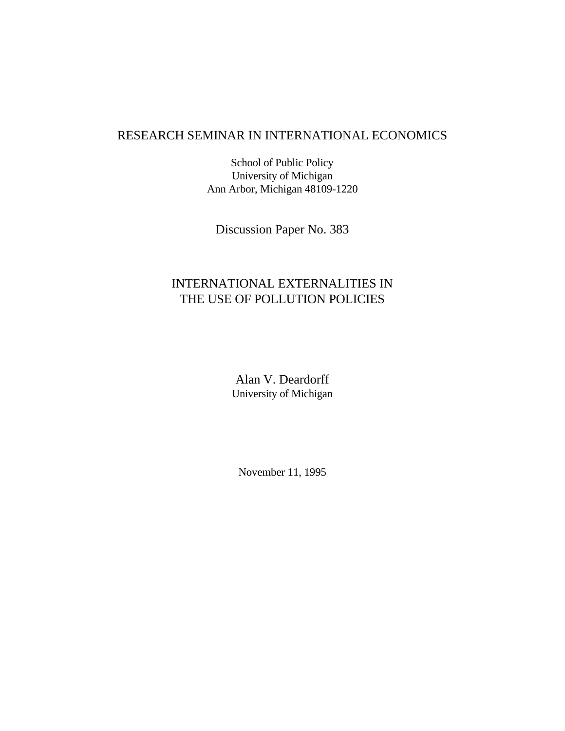# RESEARCH SEMINAR IN INTERNATIONAL ECONOMICS

School of Public Policy University of Michigan Ann Arbor, Michigan 48109-1220

Discussion Paper No. 383

# INTERNATIONAL EXTERNALITIES IN THE USE OF POLLUTION POLICIES

Alan V. Deardorff University of Michigan

November 11, 1995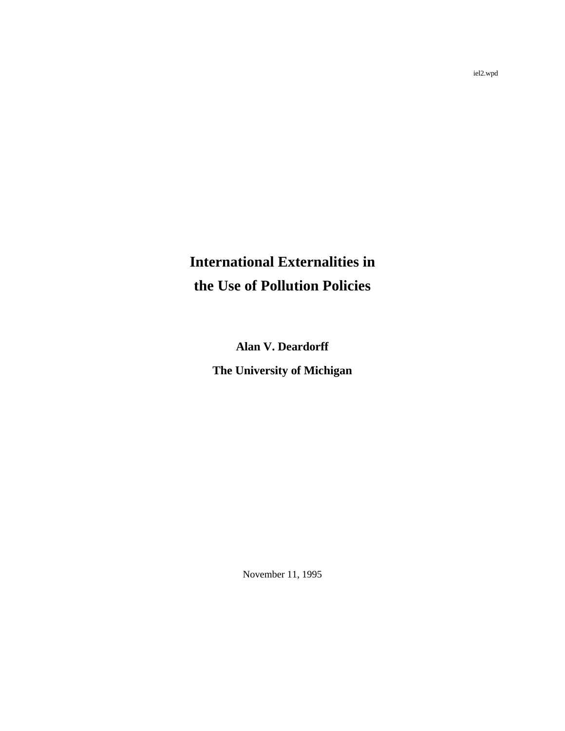# **International Externalities in the Use of Pollution Policies**

**Alan V. Deardorff The University of Michigan**

November 11, 1995

iel2.wpd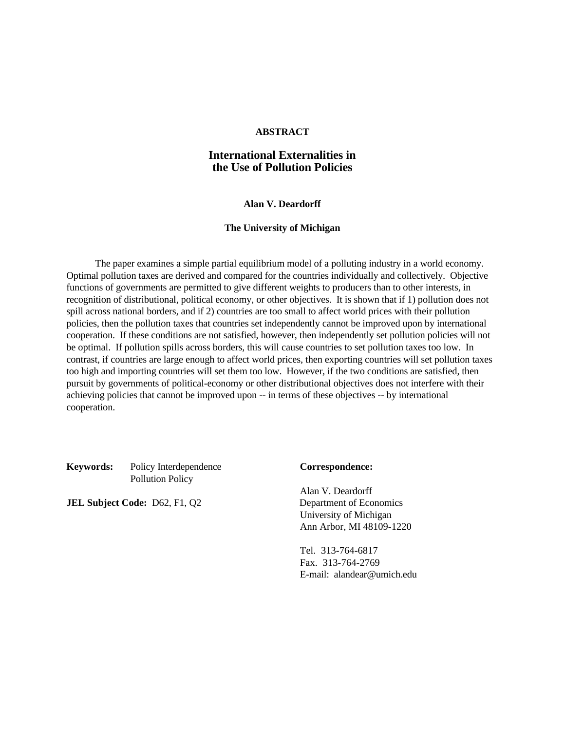# **ABSTRACT**

# **International Externalities in the Use of Pollution Policies**

# **Alan V. Deardorff**

# **The University of Michigan**

The paper examines a simple partial equilibrium model of a polluting industry in a world economy. Optimal pollution taxes are derived and compared for the countries individually and collectively. Objective functions of governments are permitted to give different weights to producers than to other interests, in recognition of distributional, political economy, or other objectives. It is shown that if 1) pollution does not spill across national borders, and if 2) countries are too small to affect world prices with their pollution policies, then the pollution taxes that countries set independently cannot be improved upon by international cooperation. If these conditions are not satisfied, however, then independently set pollution policies will not be optimal. If pollution spills across borders, this will cause countries to set pollution taxes too low. In contrast, if countries are large enough to affect world prices, then exporting countries will set pollution taxes too high and importing countries will set them too low. However, if the two conditions are satisfied, then pursuit by governments of political-economy or other distributional objectives does not interfere with their achieving policies that cannot be improved upon -- in terms of these objectives -- by international cooperation.

**Keywords:** Policy Interdependence **Correspondence:** Pollution Policy

**JEL Subject Code:** D62, F1, Q2 Department of Economics

Alan V. Deardorff University of Michigan Ann Arbor, MI 48109-1220

Tel. 313-764-6817 Fax. 313-764-2769 E-mail: alandear@umich.edu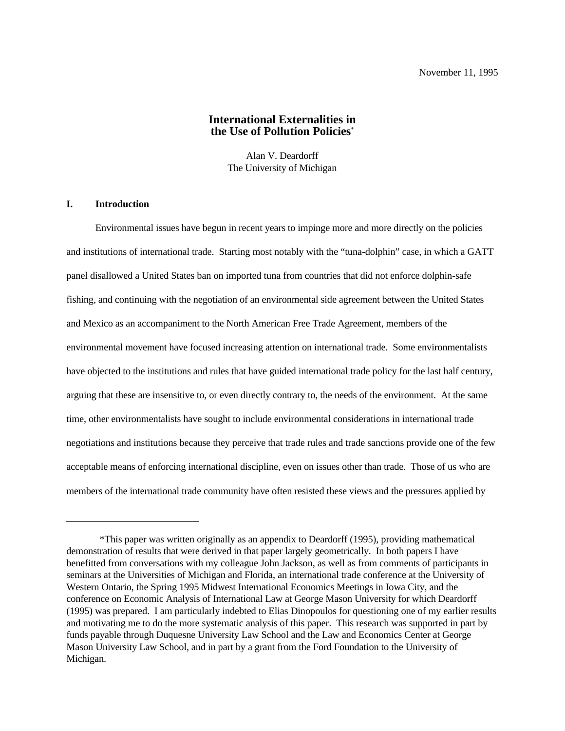# **International Externalities in the Use of Pollution Policies**\*

Alan V. Deardorff The University of Michigan

# **I. Introduction**

Environmental issues have begun in recent years to impinge more and more directly on the policies and institutions of international trade. Starting most notably with the "tuna-dolphin" case, in which a GATT panel disallowed a United States ban on imported tuna from countries that did not enforce dolphin-safe fishing, and continuing with the negotiation of an environmental side agreement between the United States and Mexico as an accompaniment to the North American Free Trade Agreement, members of the environmental movement have focused increasing attention on international trade. Some environmentalists have objected to the institutions and rules that have guided international trade policy for the last half century, arguing that these are insensitive to, or even directly contrary to, the needs of the environment. At the same time, other environmentalists have sought to include environmental considerations in international trade negotiations and institutions because they perceive that trade rules and trade sanctions provide one of the few acceptable means of enforcing international discipline, even on issues other than trade. Those of us who are members of the international trade community have often resisted these views and the pressures applied by

<sup>\*</sup>This paper was written originally as an appendix to Deardorff (1995), providing mathematical demonstration of results that were derived in that paper largely geometrically. In both papers I have benefitted from conversations with my colleague John Jackson, as well as from comments of participants in seminars at the Universities of Michigan and Florida, an international trade conference at the University of Western Ontario, the Spring 1995 Midwest International Economics Meetings in Iowa City, and the conference on Economic Analysis of International Law at George Mason University for which Deardorff (1995) was prepared. I am particularly indebted to Elias Dinopoulos for questioning one of my earlier results and motivating me to do the more systematic analysis of this paper. This research was supported in part by funds payable through Duquesne University Law School and the Law and Economics Center at George Mason University Law School, and in part by a grant from the Ford Foundation to the University of Michigan.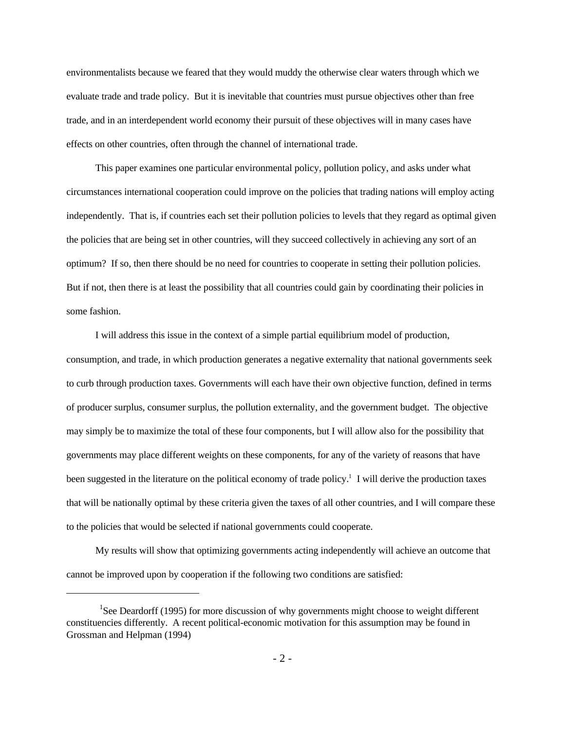environmentalists because we feared that they would muddy the otherwise clear waters through which we evaluate trade and trade policy. But it is inevitable that countries must pursue objectives other than free trade, and in an interdependent world economy their pursuit of these objectives will in many cases have effects on other countries, often through the channel of international trade.

This paper examines one particular environmental policy, pollution policy, and asks under what circumstances international cooperation could improve on the policies that trading nations will employ acting independently. That is, if countries each set their pollution policies to levels that they regard as optimal given the policies that are being set in other countries, will they succeed collectively in achieving any sort of an optimum? If so, then there should be no need for countries to cooperate in setting their pollution policies. But if not, then there is at least the possibility that all countries could gain by coordinating their policies in some fashion.

I will address this issue in the context of a simple partial equilibrium model of production, consumption, and trade, in which production generates a negative externality that national governments seek to curb through production taxes. Governments will each have their own objective function, defined in terms of producer surplus, consumer surplus, the pollution externality, and the government budget. The objective may simply be to maximize the total of these four components, but I will allow also for the possibility that governments may place different weights on these components, for any of the variety of reasons that have been suggested in the literature on the political economy of trade policy.<sup>1</sup> I will derive the production taxes that will be nationally optimal by these criteria given the taxes of all other countries, and I will compare these to the policies that would be selected if national governments could cooperate.

My results will show that optimizing governments acting independently will achieve an outcome that cannot be improved upon by cooperation if the following two conditions are satisfied:

 ${}^{1}$ See Deardorff (1995) for more discussion of why governments might choose to weight different constituencies differently. A recent political-economic motivation for this assumption may be found in Grossman and Helpman (1994)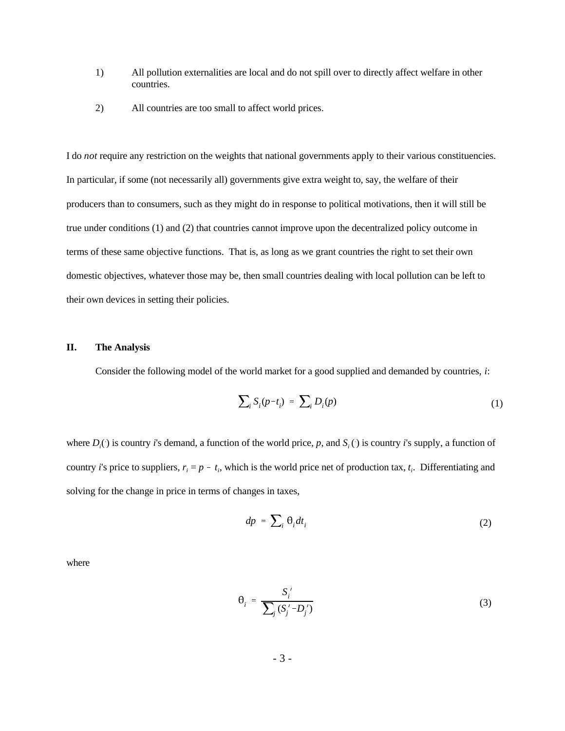- 1) All pollution externalities are local and do not spill over to directly affect welfare in other countries.
- 2) All countries are too small to affect world prices.

I do *not* require any restriction on the weights that national governments apply to their various constituencies. In particular, if some (not necessarily all) governments give extra weight to, say, the welfare of their producers than to consumers, such as they might do in response to political motivations, then it will still be true under conditions (1) and (2) that countries cannot improve upon the decentralized policy outcome in terms of these same objective functions. That is, as long as we grant countries the right to set their own domestic objectives, whatever those may be, then small countries dealing with local pollution can be left to their own devices in setting their policies.

### **II. The Analysis**

Consider the following model of the world market for a good supplied and demanded by countries, *i*:

$$
\sum_{i} S_i (p - t_i) = \sum_{i} D_i (p) \tag{1}
$$

where  $D_i()$  is country *i*'s demand, a function of the world price, p, and  $S_i()$  is country *i*'s supply, a function of country *i*'s price to suppliers,  $r_i = p - t_i$ , which is the world price net of production tax,  $t_i$ . Differentiating and solving for the change in price in terms of changes in taxes,

$$
dp = \sum_{i} \theta_i dt_i \tag{2}
$$

where

$$
\theta_i = \frac{S_i'}{\sum_j (S_j' - D_j')} \tag{3}
$$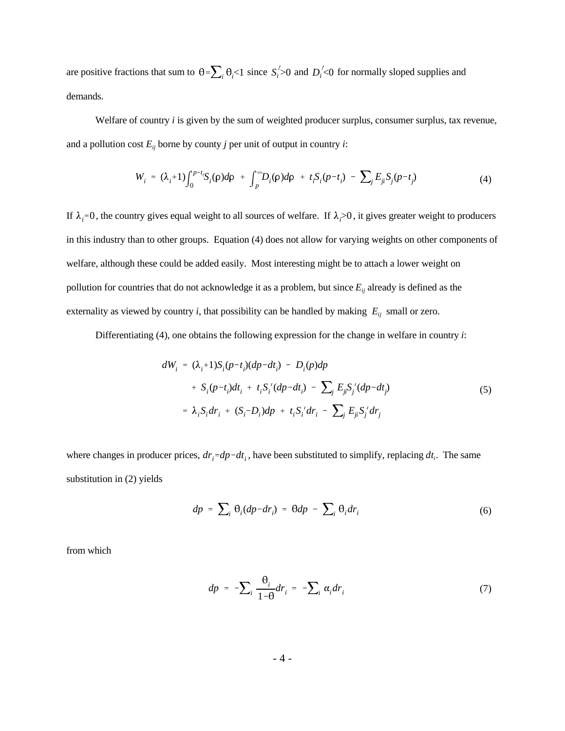are positive fractions that sum to  $\theta = \sum_i \theta_i < 1$  since  $S_i > 0$  and  $D_i < 0$  for normally sloped supplies and demands.

Welfare of country *i* is given by the sum of weighted producer surplus, consumer surplus, tax revenue, and a pollution cost  $E_{ij}$  borne by county *j* per unit of output in country *i*:

$$
W_{i} = (\lambda_{i}+1)\int_{0}^{p-t_{i}}S_{i}(\rho)d\rho + \int_{p}^{\infty}D_{i}(\rho)d\rho + t_{i}S_{i}(p-t_{i}) - \sum_{j}E_{ji}S_{j}(p-t_{j})
$$
(4)

If  $\lambda_i$ =0, the country gives equal weight to all sources of welfare. If  $\lambda_i$ >0, it gives greater weight to producers in this industry than to other groups. Equation (4) does not allow for varying weights on other components of welfare, although these could be added easily. Most interesting might be to attach a lower weight on pollution for countries that do not acknowledge it as a problem, but since  $E_{ij}$  already is defined as the externality as viewed by country *i*, that possibility can be handled by making  $E_{ij}$  small or zero.

Differentiating (4), one obtains the following expression for the change in welfare in country *i*:

$$
dW_{i} = (\lambda_{i}+1)S_{i}(p-t_{i})(dp-dt_{i}) - D_{i}(p)dp
$$
  
+  $S_{i}(p-t_{i})dt_{i} + t_{i}S_{i}'(dp-dt_{i}) - \sum_{j} E_{ji}S_{j}'(dp-dt_{j})$   
=  $\lambda_{i}S_{i}dr_{i} + (S_{i}-D_{i})dp + t_{i}S_{i}'dr_{i} - \sum_{j} E_{ji}S_{j}'dr_{j}$  (5)

where changes in producer prices,  $dr_i = dp - dt_i$ , have been substituted to simplify, replacing  $dt_i$ . The same substitution in (2) yields

$$
dp = \sum_{i} \theta_{i}(dp - dr_{i}) = \theta dp - \sum_{i} \theta_{i} dr_{i}
$$
 (6)

from which

$$
dp = -\sum_{i} \frac{\theta_i}{1-\theta} dr_i = -\sum_{i} \alpha_i dr_i \tag{7}
$$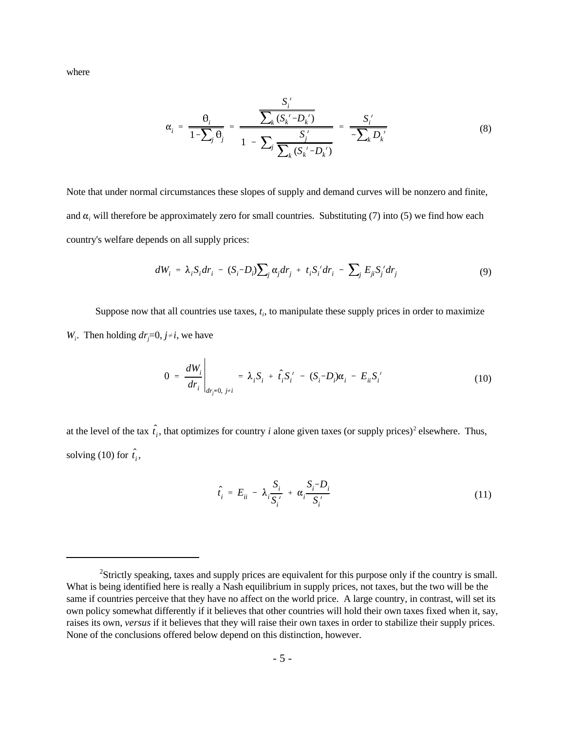where

$$
\alpha_{i} = \frac{\theta_{i}}{1 - \sum_{j} \theta_{j}} = \frac{\frac{S_{i}^{'}(S_{k}^{'} - D_{k}^{'}(S_{k}^{'} - D_{k}^{'}(S_{k}^{'} - D_{k}^{'}(S_{k}^{'} - D_{k}^{'}(S_{k}^{'} - D_{k}^{'}(S_{k}^{'} - D_{k}^{'}(S_{k}^{'} - D_{k}^{'}(S_{k}^{'} - D_{k}^{'}(S_{k}^{'} - D_{k}^{'}(S_{k}^{'} - D_{k}^{'}(S_{k}^{'} - D_{k}^{'}(S_{k}^{'} - D_{k}^{'}(S_{k}^{'} - D_{k}^{'}(S_{k}^{'} - D_{k}^{'}(S_{k}^{'} - D_{k}^{'}(S_{k}^{'} - D_{k}^{'}(S_{k}^{'} - D_{k}^{'}(S_{k}^{'} - D_{k}^{'}(S_{k}^{'} - D_{k}^{'}(S_{k}^{'} - D_{k}^{'}(S_{k}^{'} - D_{k}^{'}(S_{k}^{'} - D_{k}^{'}(S_{k}^{'} - D_{k}^{'}(S_{k}^{'} - D_{k}^{'}(S_{k}^{'} - D_{k}^{'}(S_{k}^{'} - D_{k}^{'}(S_{k}^{'} - D_{k}^{'}(S_{k}^{'} - D_{k}^{'}(S_{k}^{'} - D_{k}^{'}(S_{k}^{'} - D_{k}^{'}(S_{k}^{'} - D_{k}^{'}(S_{k}^{'} - D_{k}^{'}(S_{k}^{'} - D_{k}^{'}(S_{k}^{'} - D_{k}^{'}(S_{k}^{'} - D_{k}^{'}(S_{k}^{'} - D_{k}^{'}(S_{k}^{'} - D_{k}^{'}(S_{k}^{'} - D_{k}^{'}(S_{k}^{'} - D_{k}^{'}(S_{k}^{'} - D_{k}^{'}(S_{k}^{'} - D_{k}^{'}(S_{k}^{'} - D_{k}^{'}(S_{k}^{'} - D_{k}^{'}(S_{k}^{'} - D_{k}^{'}(S_{k}^{'} - D_{k}^{'}(S_{k}^{'} - D_{k}^{'}(S_{k}^{'} - D_{k}^{'}(S_{k}^{'} - D_{k}^{'}(S_{k}^{'} - D_{k}^{'}(S_{k}^{'} - D_{k}^{'}(S_{k}^{'} - D_{k}^{'}(S_{k}^{'} -
$$

Note that under normal circumstances these slopes of supply and demand curves will be nonzero and finite, and  $\alpha_i$  will therefore be approximately zero for small countries. Substituting (7) into (5) we find how each country's welfare depends on all supply prices:

$$
dW_i = \lambda_i S_i dr_i - (S_i - D_i) \sum_j \alpha_j dr_j + t_i S_i' dr_i - \sum_j E_{ji} S_j' dr_j \tag{9}
$$

Suppose now that all countries use taxes, *ti*, to manipulate these supply prices in order to maximize *W<sub>i</sub>*. Then holding  $dr = 0$ ,  $j \neq i$ , we have

$$
0 = \frac{dW_i}{dr_i}\Big|_{dr_j = 0, \ j \neq i} = \lambda_i S_i + \hat{t}_i S'_i - (S_i - D_i)\alpha_i - E_{ii}S'_i \tag{10}
$$

at the level of the tax  $\hat{t}_i$ , that optimizes for country *i* alone given taxes (or supply prices)<sup>2</sup> elsewhere. Thus, solving (10) for  $\hat{t}_i$ ,

$$
\hat{t}_i = E_{ii} - \lambda_i \frac{S_i}{S_i'} + \alpha_i \frac{S_i - D_i}{S_i'}
$$
\n(11)

<sup>&</sup>lt;sup>2</sup>Strictly speaking, taxes and supply prices are equivalent for this purpose only if the country is small. What is being identified here is really a Nash equilibrium in supply prices, not taxes, but the two will be the same if countries perceive that they have no affect on the world price. A large country, in contrast, will set its own policy somewhat differently if it believes that other countries will hold their own taxes fixed when it, say, raises its own, *versus* if it believes that they will raise their own taxes in order to stabilize their supply prices. None of the conclusions offered below depend on this distinction, however.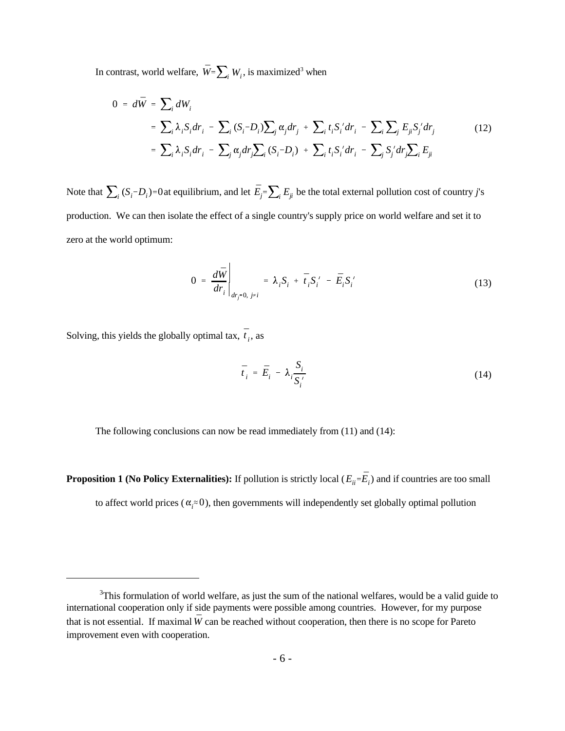In contrast, world welfare,  $\bar{W} = \sum_i W_i$ , is maximized<sup>3</sup> when

$$
0 = d\overline{W} = \sum_{i} dW_{i}
$$
  
\n
$$
= \sum_{i} \lambda_{i} S_{i} dr_{i} - \sum_{i} (S_{i} - D_{i}) \sum_{j} \alpha_{j} dr_{j} + \sum_{i} t_{i} S_{i}^{\prime} dr_{i} - \sum_{i} \sum_{j} E_{j} S_{j}^{\prime} dr_{j} \qquad (12)
$$
  
\n
$$
= \sum_{i} \lambda_{i} S_{i} dr_{i} - \sum_{j} \alpha_{j} dr_{j} \sum_{i} (S_{i} - D_{i}) + \sum_{i} t_{i} S_{i}^{\prime} dr_{i} - \sum_{j} S_{j}^{\prime} dr_{j} \sum_{i} E_{j}
$$

Note that  $\sum_i (S_i - D_i)$ =0 at equilibrium, and let  $\bar{E}_j = \sum_i E_{ji}$  be the total external pollution cost of country *j*'s production. We can then isolate the effect of a single country's supply price on world welfare and set it to zero at the world optimum:

$$
0 = \frac{d\bar{W}}{dr_i}\Big|_{dr_j=0, j\neq i} = \lambda_i S_i + \bar{t}_i S_i' - \bar{E}_i S_i'
$$
 (13)

Solving, this yields the globally optimal tax,  $\bar{t}_i$ , as

$$
\bar{t}_i = \bar{E}_i - \lambda_i \frac{S_i}{S_i'}
$$
 (14)

The following conclusions can now be read immediately from (11) and (14):

**Proposition 1 (No Policy Externalities):** If pollution is strictly local ( $E_{ii}$ = $\bar{E}_i$ ) and if countries are too small to affect world prices ( $\alpha_i \approx 0$ ), then governments will independently set globally optimal pollution

that is not essential. If maximal  $\bar{W}$  can be reached without cooperation, then there is no scope for Pareto  $3$ This formulation of world welfare, as just the sum of the national welfares, would be a valid guide to international cooperation only if side payments were possible among countries. However, for my purpose improvement even with cooperation.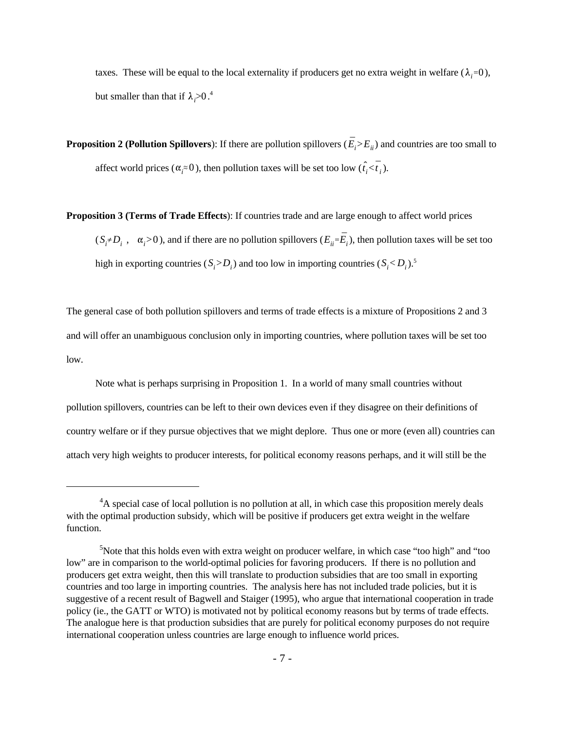taxes. These will be equal to the local externality if producers get no extra weight in welfare  $(\lambda_i=0)$ , but smaller than that if  $\lambda_i > 0.^4$ 

**Proposition 2 (Pollution Spillovers)**: If there are pollution spillovers ( $\bar{E}_i>E_{ii}$ ) and countries are too small to affect world prices ( $\alpha_i \approx 0$ ), then pollution taxes will be set too low ( $\hat{t}_i < \overline{t}_i$ ).

**Proposition 3 (Terms of Trade Effects**): If countries trade and are large enough to affect world prices

 $(S_i \neq D_i$ ,  $\alpha_i > 0$ ), and if there are no pollution spillovers  $(E_{ii} = \overline{E}_i)$ , then pollution taxes will be set too high in exporting countries  $(S_i > D_i)$  and too low in importing countries  $(S_i < D_i)$ .<sup>5</sup>

The general case of both pollution spillovers and terms of trade effects is a mixture of Propositions 2 and 3 and will offer an unambiguous conclusion only in importing countries, where pollution taxes will be set too low.

Note what is perhaps surprising in Proposition 1. In a world of many small countries without pollution spillovers, countries can be left to their own devices even if they disagree on their definitions of country welfare or if they pursue objectives that we might deplore. Thus one or more (even all) countries can attach very high weights to producer interests, for political economy reasons perhaps, and it will still be the

 $A<sup>4</sup>A$  special case of local pollution is no pollution at all, in which case this proposition merely deals with the optimal production subsidy, which will be positive if producers get extra weight in the welfare function.

 $<sup>5</sup>$ Note that this holds even with extra weight on producer welfare, in which case "too high" and "too"</sup> low" are in comparison to the world-optimal policies for favoring producers. If there is no pollution and producers get extra weight, then this will translate to production subsidies that are too small in exporting countries and too large in importing countries. The analysis here has not included trade policies, but it is suggestive of a recent result of Bagwell and Staiger (1995), who argue that international cooperation in trade policy (ie., the GATT or WTO) is motivated not by political economy reasons but by terms of trade effects. The analogue here is that production subsidies that are purely for political economy purposes do not require international cooperation unless countries are large enough to influence world prices.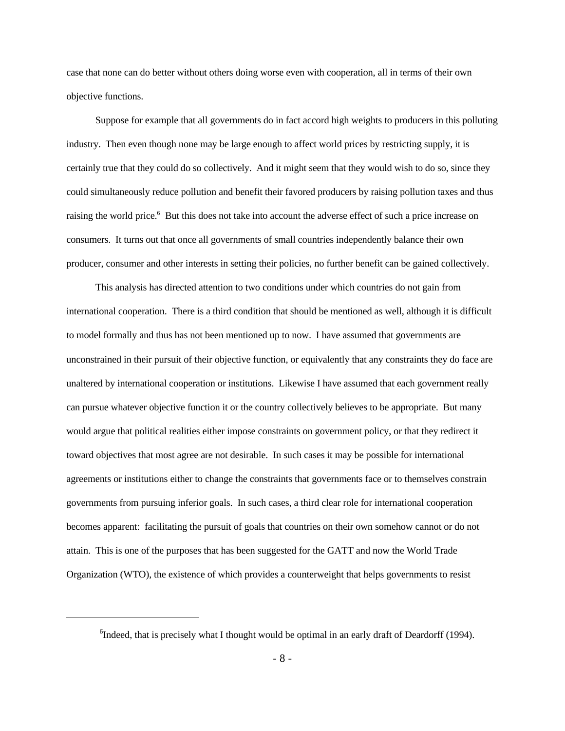case that none can do better without others doing worse even with cooperation, all in terms of their own objective functions.

Suppose for example that all governments do in fact accord high weights to producers in this polluting industry. Then even though none may be large enough to affect world prices by restricting supply, it is certainly true that they could do so collectively. And it might seem that they would wish to do so, since they could simultaneously reduce pollution and benefit their favored producers by raising pollution taxes and thus raising the world price.<sup>6</sup> But this does not take into account the adverse effect of such a price increase on consumers. It turns out that once all governments of small countries independently balance their own producer, consumer and other interests in setting their policies, no further benefit can be gained collectively.

This analysis has directed attention to two conditions under which countries do not gain from international cooperation. There is a third condition that should be mentioned as well, although it is difficult to model formally and thus has not been mentioned up to now. I have assumed that governments are unconstrained in their pursuit of their objective function, or equivalently that any constraints they do face are unaltered by international cooperation or institutions. Likewise I have assumed that each government really can pursue whatever objective function it or the country collectively believes to be appropriate. But many would argue that political realities either impose constraints on government policy, or that they redirect it toward objectives that most agree are not desirable. In such cases it may be possible for international agreements or institutions either to change the constraints that governments face or to themselves constrain governments from pursuing inferior goals. In such cases, a third clear role for international cooperation becomes apparent: facilitating the pursuit of goals that countries on their own somehow cannot or do not attain. This is one of the purposes that has been suggested for the GATT and now the World Trade Organization (WTO), the existence of which provides a counterweight that helps governments to resist

 $<sup>6</sup>$  Indeed, that is precisely what I thought would be optimal in an early draft of Deardorff (1994).</sup>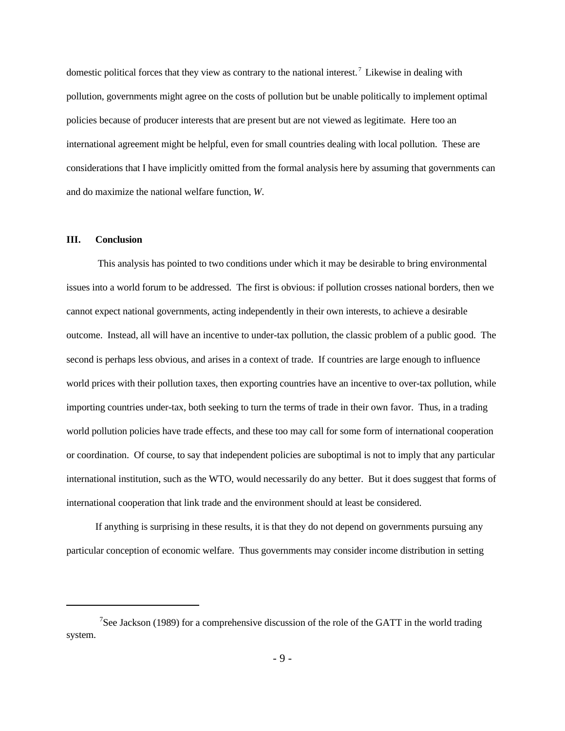domestic political forces that they view as contrary to the national interest.<sup>7</sup> Likewise in dealing with pollution, governments might agree on the costs of pollution but be unable politically to implement optimal policies because of producer interests that are present but are not viewed as legitimate. Here too an international agreement might be helpful, even for small countries dealing with local pollution. These are considerations that I have implicitly omitted from the formal analysis here by assuming that governments can and do maximize the national welfare function, *W*.

### **III. Conclusion**

 This analysis has pointed to two conditions under which it may be desirable to bring environmental issues into a world forum to be addressed. The first is obvious: if pollution crosses national borders, then we cannot expect national governments, acting independently in their own interests, to achieve a desirable outcome. Instead, all will have an incentive to under-tax pollution, the classic problem of a public good. The second is perhaps less obvious, and arises in a context of trade. If countries are large enough to influence world prices with their pollution taxes, then exporting countries have an incentive to over-tax pollution, while importing countries under-tax, both seeking to turn the terms of trade in their own favor. Thus, in a trading world pollution policies have trade effects, and these too may call for some form of international cooperation or coordination. Of course, to say that independent policies are suboptimal is not to imply that any particular international institution, such as the WTO, would necessarily do any better. But it does suggest that forms of international cooperation that link trade and the environment should at least be considered.

If anything is surprising in these results, it is that they do not depend on governments pursuing any particular conception of economic welfare. Thus governments may consider income distribution in setting

<sup>&</sup>lt;sup>7</sup>See Jackson (1989) for a comprehensive discussion of the role of the GATT in the world trading system.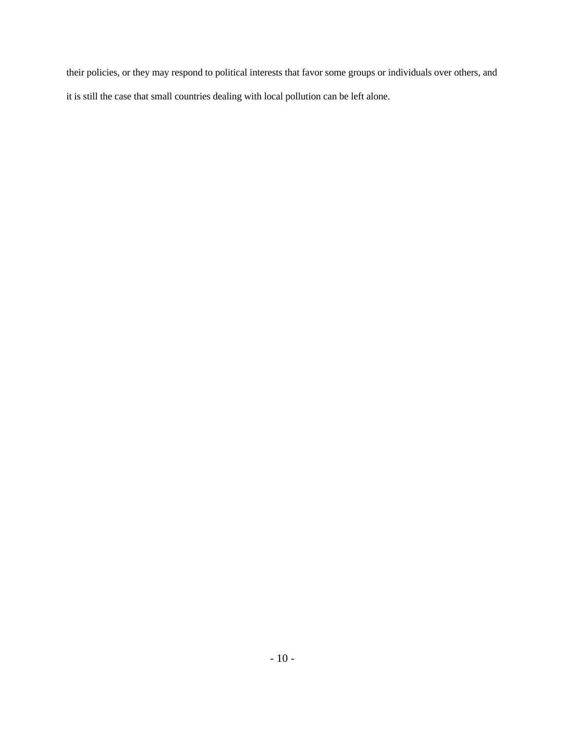their policies, or they may respond to political interests that favor some groups or individuals over others, and it is still the case that small countries dealing with local pollution can be left alone.